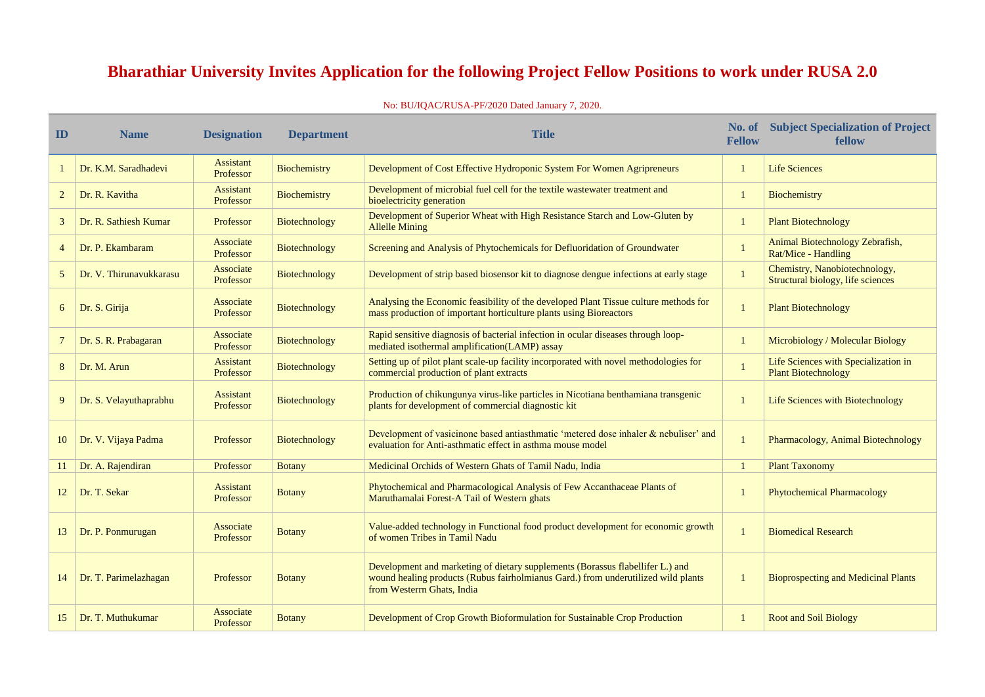## **Bharathiar University Invites Application for the following Project Fellow Positions to work under RUSA 2.0**

## No: BU/IQAC/RUSA-PF/2020 Dated January 7, 2020.

| ID             | <b>Name</b>             | <b>Designation</b>            | <b>Department</b>    | <b>Title</b>                                                                                                                                                                                      | No. of<br><b>Fellow</b> | <b>Subject Specialization of Project</b><br>fellow                 |
|----------------|-------------------------|-------------------------------|----------------------|---------------------------------------------------------------------------------------------------------------------------------------------------------------------------------------------------|-------------------------|--------------------------------------------------------------------|
|                | Dr. K.M. Saradhadevi    | <b>Assistant</b><br>Professor | <b>Biochemistry</b>  | Development of Cost Effective Hydroponic System For Women Agripreneurs                                                                                                                            |                         | <b>Life Sciences</b>                                               |
| $\overline{2}$ | Dr. R. Kavitha          | <b>Assistant</b><br>Professor | Biochemistry         | Development of microbial fuel cell for the textile wastewater treatment and<br>bioelectricity generation                                                                                          |                         | Biochemistry                                                       |
| 3              | Dr. R. Sathiesh Kumar   | Professor                     | Biotechnology        | Development of Superior Wheat with High Resistance Starch and Low-Gluten by<br><b>Allelle Mining</b>                                                                                              |                         | <b>Plant Biotechnology</b>                                         |
| $\overline{4}$ | Dr. P. Ekambaram        | Associate<br>Professor        | Biotechnology        | Screening and Analysis of Phytochemicals for Defluoridation of Groundwater                                                                                                                        |                         | Animal Biotechnology Zebrafish,<br>Rat/Mice - Handling             |
| $5^{\circ}$    | Dr. V. Thirunavukkarasu | Associate<br>Professor        | Biotechnology        | Development of strip based biosensor kit to diagnose dengue infections at early stage                                                                                                             |                         | Chemistry, Nanobiotechnology,<br>Structural biology, life sciences |
| 6              | Dr. S. Girija           | Associate<br>Professor        | Biotechnology        | Analysing the Economic feasibility of the developed Plant Tissue culture methods for<br>mass production of important horticulture plants using Bioreactors                                        |                         | <b>Plant Biotechnology</b>                                         |
|                | Dr. S. R. Prabagaran    | Associate<br>Professor        | Biotechnology        | Rapid sensitive diagnosis of bacterial infection in ocular diseases through loop-<br>mediated isothermal amplification(LAMP) assay                                                                |                         | Microbiology / Molecular Biology                                   |
| 8              | Dr. M. Arun             | <b>Assistant</b><br>Professor | <b>Biotechnology</b> | Setting up of pilot plant scale-up facility incorporated with novel methodologies for<br>commercial production of plant extracts                                                                  |                         | Life Sciences with Specialization in<br><b>Plant Biotechnology</b> |
| 9              | Dr. S. Velayuthaprabhu  | <b>Assistant</b><br>Professor | <b>Biotechnology</b> | Production of chikungunya virus-like particles in Nicotiana benthamiana transgenic<br>plants for development of commercial diagnostic kit                                                         |                         | Life Sciences with Biotechnology                                   |
| 10             | Dr. V. Vijaya Padma     | Professor                     | Biotechnology        | Development of vasicinone based antiasthmatic 'metered dose inhaler & nebuliser' and<br>evaluation for Anti-asthmatic effect in asthma mouse model                                                |                         | Pharmacology, Animal Biotechnology                                 |
|                | Dr. A. Rajendiran       | Professor                     | <b>Botany</b>        | Medicinal Orchids of Western Ghats of Tamil Nadu, India                                                                                                                                           |                         | <b>Plant Taxonomy</b>                                              |
| 12             | Dr. T. Sekar            | Assistant<br>Professor        | <b>Botany</b>        | Phytochemical and Pharmacological Analysis of Few Accanthaceae Plants of<br>Maruthamalai Forest-A Tail of Western ghats                                                                           |                         | <b>Phytochemical Pharmacology</b>                                  |
| 13             | Dr. P. Ponmurugan       | Associate<br>Professor        | <b>Botany</b>        | Value-added technology in Functional food product development for economic growth<br>of women Tribes in Tamil Nadu                                                                                |                         | <b>Biomedical Research</b>                                         |
| 14             | Dr. T. Parimelazhagan   | Professor                     | <b>Botany</b>        | Development and marketing of dietary supplements (Borassus flabellifer L.) and<br>wound healing products (Rubus fairholmianus Gard.) from underutilized wild plants<br>from Westerrn Ghats, India | $\mathbf 1$             | <b>Bioprospecting and Medicinal Plants</b>                         |
| 15             | Dr. T. Muthukumar       | Associate<br>Professor        | <b>Botany</b>        | Development of Crop Growth Bioformulation for Sustainable Crop Production                                                                                                                         |                         | <b>Root and Soil Biology</b>                                       |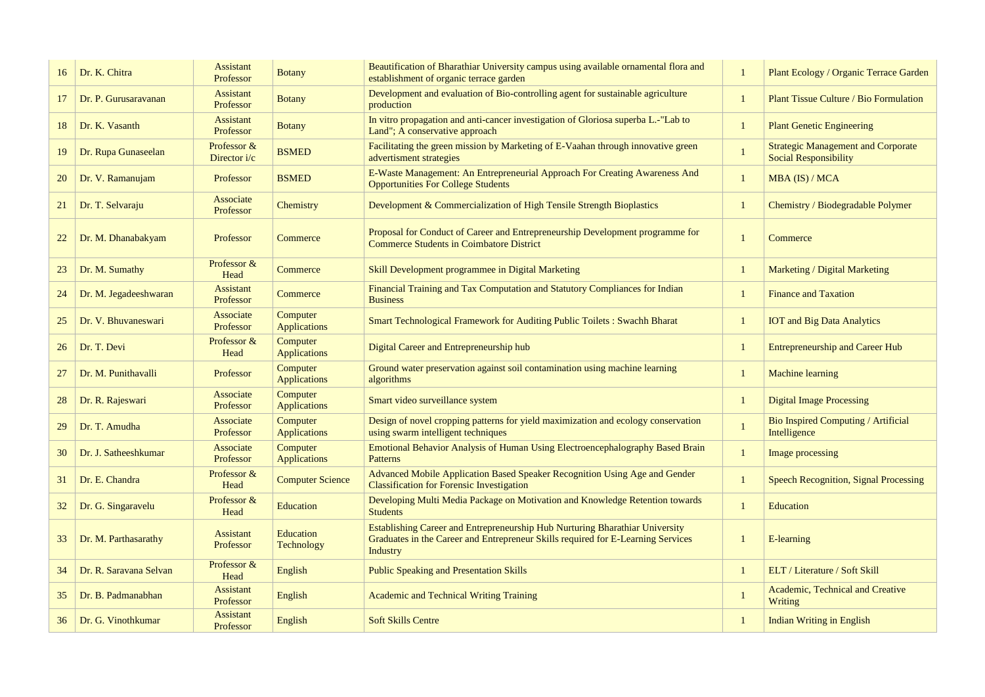| Plant Ecology / Organic Terrace Garden<br><b>Plant Tissue Culture / Bio Formulation</b><br><b>Plant Genetic Engineering</b><br><b>Strategic Management and Corporate</b><br><b>Social Responsibility</b><br>MBA (IS) / MCA<br>Chemistry / Biodegradable Polymer<br>Commerce<br>Marketing / Digital Marketing<br><b>Finance and Taxation</b><br><b>IOT</b> and Big Data Analytics<br><b>Entrepreneurship and Career Hub</b><br><b>Machine learning</b><br><b>Digital Image Processing</b><br><b>Bio Inspired Computing / Artificial</b><br>Intelligence<br><b>Image processing</b><br><b>Speech Recognition, Signal Processing</b><br><b>Education</b><br>E-learning<br>ELT / Literature / Soft Skill<br><b>Academic, Technical and Creative</b><br>Writing<br><b>Indian Writing in English</b> |              |  |
|------------------------------------------------------------------------------------------------------------------------------------------------------------------------------------------------------------------------------------------------------------------------------------------------------------------------------------------------------------------------------------------------------------------------------------------------------------------------------------------------------------------------------------------------------------------------------------------------------------------------------------------------------------------------------------------------------------------------------------------------------------------------------------------------|--------------|--|
|                                                                                                                                                                                                                                                                                                                                                                                                                                                                                                                                                                                                                                                                                                                                                                                                | $\mathbf{1}$ |  |
|                                                                                                                                                                                                                                                                                                                                                                                                                                                                                                                                                                                                                                                                                                                                                                                                | $\mathbf{1}$ |  |
|                                                                                                                                                                                                                                                                                                                                                                                                                                                                                                                                                                                                                                                                                                                                                                                                | $\mathbf{1}$ |  |
|                                                                                                                                                                                                                                                                                                                                                                                                                                                                                                                                                                                                                                                                                                                                                                                                | $\mathbf{1}$ |  |
|                                                                                                                                                                                                                                                                                                                                                                                                                                                                                                                                                                                                                                                                                                                                                                                                | $\mathbf{1}$ |  |
|                                                                                                                                                                                                                                                                                                                                                                                                                                                                                                                                                                                                                                                                                                                                                                                                | $\mathbf{1}$ |  |
|                                                                                                                                                                                                                                                                                                                                                                                                                                                                                                                                                                                                                                                                                                                                                                                                | $\mathbf{1}$ |  |
|                                                                                                                                                                                                                                                                                                                                                                                                                                                                                                                                                                                                                                                                                                                                                                                                | $\mathbf{1}$ |  |
|                                                                                                                                                                                                                                                                                                                                                                                                                                                                                                                                                                                                                                                                                                                                                                                                | $\mathbf{1}$ |  |
|                                                                                                                                                                                                                                                                                                                                                                                                                                                                                                                                                                                                                                                                                                                                                                                                | $\mathbf{1}$ |  |
|                                                                                                                                                                                                                                                                                                                                                                                                                                                                                                                                                                                                                                                                                                                                                                                                | $\mathbf{1}$ |  |
|                                                                                                                                                                                                                                                                                                                                                                                                                                                                                                                                                                                                                                                                                                                                                                                                | $\mathbf{1}$ |  |
|                                                                                                                                                                                                                                                                                                                                                                                                                                                                                                                                                                                                                                                                                                                                                                                                | $\mathbf{1}$ |  |
|                                                                                                                                                                                                                                                                                                                                                                                                                                                                                                                                                                                                                                                                                                                                                                                                | $\mathbf{1}$ |  |
|                                                                                                                                                                                                                                                                                                                                                                                                                                                                                                                                                                                                                                                                                                                                                                                                | $\mathbf{1}$ |  |
|                                                                                                                                                                                                                                                                                                                                                                                                                                                                                                                                                                                                                                                                                                                                                                                                | $\mathbf{1}$ |  |
|                                                                                                                                                                                                                                                                                                                                                                                                                                                                                                                                                                                                                                                                                                                                                                                                | 1            |  |
|                                                                                                                                                                                                                                                                                                                                                                                                                                                                                                                                                                                                                                                                                                                                                                                                | $\mathbf{1}$ |  |
|                                                                                                                                                                                                                                                                                                                                                                                                                                                                                                                                                                                                                                                                                                                                                                                                | $\mathbf{1}$ |  |
|                                                                                                                                                                                                                                                                                                                                                                                                                                                                                                                                                                                                                                                                                                                                                                                                | $\mathbf{1}$ |  |
|                                                                                                                                                                                                                                                                                                                                                                                                                                                                                                                                                                                                                                                                                                                                                                                                | 1            |  |

| 16        | Dr. K. Chitra          | <b>Assistant</b><br>Professor | <b>Botany</b>                   | Beautification of Bharathiar University campus using available ornamental flora and<br>establishment of organic terrace garden                                               |              | Plant Ecology / Organic Terrace Garden                                    |
|-----------|------------------------|-------------------------------|---------------------------------|------------------------------------------------------------------------------------------------------------------------------------------------------------------------------|--------------|---------------------------------------------------------------------------|
| 17        | Dr. P. Gurusaravanan   | <b>Assistant</b><br>Professor | <b>Botany</b>                   | Development and evaluation of Bio-controlling agent for sustainable agriculture<br>production                                                                                |              | <b>Plant Tissue Culture / Bio Formulation</b>                             |
| 18        | Dr. K. Vasanth         | <b>Assistant</b><br>Professor | <b>Botany</b>                   | In vitro propagation and anti-cancer investigation of Gloriosa superba L.-"Lab to<br>Land"; A conservative approach                                                          |              | <b>Plant Genetic Engineering</b>                                          |
| 19        | Dr. Rupa Gunaseelan    | Professor &<br>Director $i/c$ | <b>BSMED</b>                    | Facilitating the green mission by Marketing of E-Vaahan through innovative green<br>advertisment strategies                                                                  |              | <b>Strategic Management and Corporate</b><br><b>Social Responsibility</b> |
| <b>20</b> | Dr. V. Ramanujam       | Professor                     | <b>BSMED</b>                    | E-Waste Management: An Entrepreneurial Approach For Creating Awareness And<br><b>Opportunities For College Students</b>                                                      |              | MBA (IS) / MCA                                                            |
| 21        | Dr. T. Selvaraju       | Associate<br>Professor        | Chemistry                       | Development & Commercialization of High Tensile Strength Bioplastics                                                                                                         |              | Chemistry / Biodegradable Polymer                                         |
| 22        | Dr. M. Dhanabakyam     | Professor                     | Commerce                        | Proposal for Conduct of Career and Entrepreneurship Development programme for<br><b>Commerce Students in Coimbatore District</b>                                             |              | Commerce                                                                  |
| 23        | Dr. M. Sumathy         | Professor &<br>Head           | Commerce                        | Skill Development programmee in Digital Marketing                                                                                                                            |              | <b>Marketing / Digital Marketing</b>                                      |
| 24        | Dr. M. Jegadeeshwaran  | <b>Assistant</b><br>Professor | Commerce                        | Financial Training and Tax Computation and Statutory Compliances for Indian<br><b>Business</b>                                                                               |              | <b>Finance and Taxation</b>                                               |
| 25        | Dr. V. Bhuvaneswari    | Associate<br>Professor        | Computer<br><b>Applications</b> | <b>Smart Technological Framework for Auditing Public Toilets: Swachh Bharat</b>                                                                                              |              | <b>IOT</b> and Big Data Analytics                                         |
| 26        | Dr. T. Devi            | Professor &<br>Head           | Computer<br><b>Applications</b> | Digital Career and Entrepreneurship hub                                                                                                                                      |              | <b>Entrepreneurship and Career Hub</b>                                    |
| 27        | Dr. M. Punithavalli    | Professor                     | Computer<br><b>Applications</b> | Ground water preservation against soil contamination using machine learning<br>algorithms                                                                                    |              | <b>Machine learning</b>                                                   |
| 28        | Dr. R. Rajeswari       | Associate<br>Professor        | Computer<br><b>Applications</b> | Smart video surveillance system                                                                                                                                              |              | <b>Digital Image Processing</b>                                           |
| 29        | Dr. T. Amudha          | Associate<br>Professor        | Computer<br><b>Applications</b> | Design of novel cropping patterns for yield maximization and ecology conservation<br>using swarm intelligent techniques                                                      |              | Bio Inspired Computing / Artificial<br>Intelligence                       |
| 30        | Dr. J. Satheeshkumar   | Associate<br>Professor        | Computer<br><b>Applications</b> | <b>Emotional Behavior Analysis of Human Using Electroencephalography Based Brain</b><br><b>Patterns</b>                                                                      |              | Image processing                                                          |
| 31        | Dr. E. Chandra         | Professor &<br>Head           | <b>Computer Science</b>         | Advanced Mobile Application Based Speaker Recognition Using Age and Gender<br><b>Classification for Forensic Investigation</b>                                               |              | <b>Speech Recognition, Signal Processing</b>                              |
| 32        | Dr. G. Singaravelu     | Professor &<br>Head           | Education                       | Developing Multi Media Package on Motivation and Knowledge Retention towards<br><b>Students</b>                                                                              |              | Education                                                                 |
| 33        | Dr. M. Parthasarathy   | <b>Assistant</b><br>Professor | Education<br>Technology         | Establishing Career and Entrepreneurship Hub Nurturing Bharathiar University<br>Graduates in the Career and Entrepreneur Skills required for E-Learning Services<br>Industry |              | E-learning                                                                |
| 34        | Dr. R. Saravana Selvan | Professor &<br>Head           | English                         | <b>Public Speaking and Presentation Skills</b>                                                                                                                               |              | ELT / Literature / Soft Skill                                             |
| 35        | Dr. B. Padmanabhan     | <b>Assistant</b><br>Professor | English                         | <b>Academic and Technical Writing Training</b>                                                                                                                               |              | Academic, Technical and Creative<br>Writing                               |
| 36        | Dr. G. Vinothkumar     | <b>Assistant</b><br>Professor | English                         | <b>Soft Skills Centre</b>                                                                                                                                                    | $\mathbf{1}$ | <b>Indian Writing in English</b>                                          |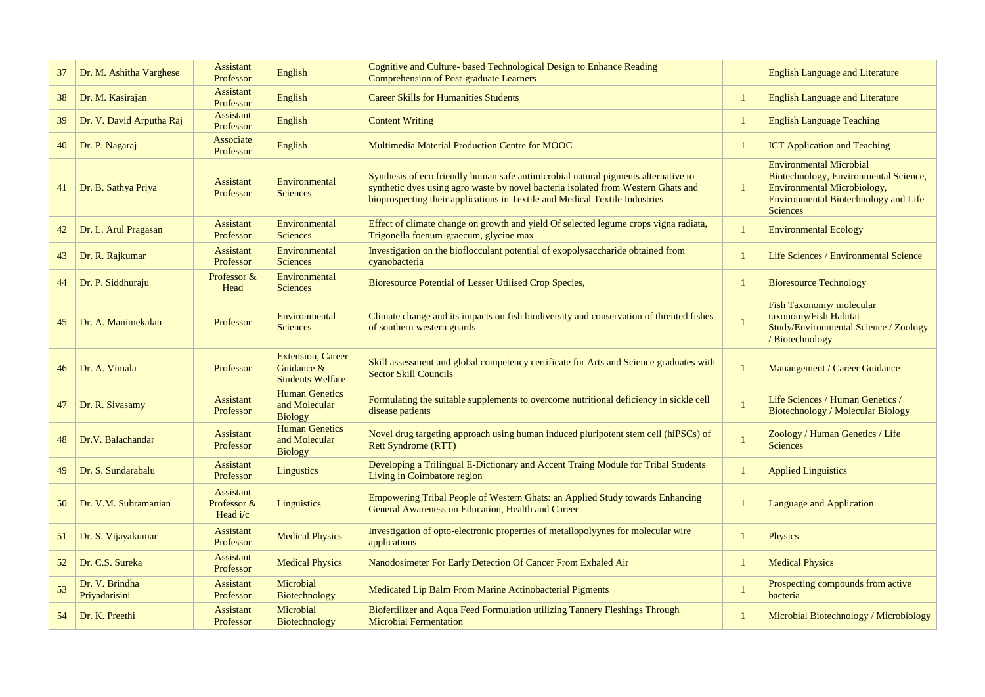| 37 | Dr. M. Ashitha Varghese         | <b>Assistant</b><br>Professor                 | English                                                             | Cognitive and Culture- based Technological Design to Enhance Reading<br><b>Comprehension of Post-graduate Learners</b>                                                                                                                                 | <b>English Language and Literature</b>                                                                                                                                   |
|----|---------------------------------|-----------------------------------------------|---------------------------------------------------------------------|--------------------------------------------------------------------------------------------------------------------------------------------------------------------------------------------------------------------------------------------------------|--------------------------------------------------------------------------------------------------------------------------------------------------------------------------|
| 38 | Dr. M. Kasirajan                | <b>Assistant</b><br>Professor                 | English                                                             | <b>Career Skills for Humanities Students</b>                                                                                                                                                                                                           | <b>English Language and Literature</b>                                                                                                                                   |
| 39 | Dr. V. David Arputha Raj        | <b>Assistant</b><br>Professor                 | English                                                             | <b>Content Writing</b>                                                                                                                                                                                                                                 | <b>English Language Teaching</b>                                                                                                                                         |
| 40 | Dr. P. Nagaraj                  | Associate<br>Professor                        | English                                                             | Multimedia Material Production Centre for MOOC                                                                                                                                                                                                         | <b>ICT Application and Teaching</b>                                                                                                                                      |
| 41 | Dr. B. Sathya Priya             | <b>Assistant</b><br>Professor                 | Environmental<br><b>Sciences</b>                                    | Synthesis of eco friendly human safe antimicrobial natural pigments alternative to<br>synthetic dyes using agro waste by novel bacteria isolated from Western Ghats and<br>bioprospecting their applications in Textile and Medical Textile Industries | <b>Environmental Microbial</b><br>Biotechnology, Environmental Science,<br>Environmental Microbiology,<br><b>Environmental Biotechnology and Life</b><br><b>Sciences</b> |
| 42 | Dr. L. Arul Pragasan            | <b>Assistant</b><br>Professor                 | Environmental<br><b>Sciences</b>                                    | Effect of climate change on growth and yield Of selected legume crops vigna radiata,<br>Trigonella foenum-graecum, glycine max                                                                                                                         | <b>Environmental Ecology</b>                                                                                                                                             |
| 43 | Dr. R. Rajkumar                 | <b>Assistant</b><br>Professor                 | Environmental<br><b>Sciences</b>                                    | Investigation on the bioflocculant potential of exopolysaccharide obtained from<br>cyanobacteria                                                                                                                                                       | Life Sciences / Environmental Science                                                                                                                                    |
| 44 | Dr. P. Siddhuraju               | Professor &<br>Head                           | Environmental<br><b>Sciences</b>                                    | Bioresource Potential of Lesser Utilised Crop Species,                                                                                                                                                                                                 | <b>Bioresource Technology</b>                                                                                                                                            |
| 45 | Dr. A. Manimekalan              | Professor                                     | Environmental<br><b>Sciences</b>                                    | Climate change and its impacts on fish biodiversity and conservation of thrented fishes<br>of southern western guards                                                                                                                                  | Fish Taxonomy/molecular<br>taxonomy/Fish Habitat<br>Study/Environmental Science / Zoology<br>/ Biotechnology                                                             |
| 46 | Dr. A. Vimala                   | Professor                                     | <b>Extension, Career</b><br>Guidance $&$<br><b>Students Welfare</b> | Skill assessment and global competency certificate for Arts and Science graduates with<br><b>Sector Skill Councils</b>                                                                                                                                 | <b>Manangement / Career Guidance</b>                                                                                                                                     |
| 47 | Dr. R. Sivasamy                 | <b>Assistant</b><br>Professor                 | <b>Human Genetics</b><br>and Molecular<br><b>Biology</b>            | Formulating the suitable supplements to overcome nutritional deficiency in sickle cell<br>disease patients                                                                                                                                             | Life Sciences / Human Genetics /<br>Biotechnology / Molecular Biology                                                                                                    |
| 48 | Dr.V. Balachandar               | <b>Assistant</b><br>Professor                 | <b>Human Genetics</b><br>and Molecular<br><b>Biology</b>            | Novel drug targeting approach using human induced pluripotent stem cell (hiPSCs) of<br><b>Rett Syndrome (RTT)</b>                                                                                                                                      | Zoology / Human Genetics / Life<br><b>Sciences</b>                                                                                                                       |
| 49 | Dr. S. Sundarabalu              | Assistant<br>Professor                        | Lingustics                                                          | Developing a Trilingual E-Dictionary and Accent Traing Module for Tribal Students<br>Living in Coimbatore region                                                                                                                                       | <b>Applied Linguistics</b>                                                                                                                                               |
| 50 | Dr. V.M. Subramanian            | <b>Assistant</b><br>Professor &<br>Head $i/c$ | Linguistics                                                         | Empowering Tribal People of Western Ghats: an Applied Study towards Enhancing<br><b>General Awareness on Education, Health and Career</b>                                                                                                              | <b>Language and Application</b>                                                                                                                                          |
| 51 | Dr. S. Vijayakumar              | <b>Assistant</b><br>Professor                 | <b>Medical Physics</b>                                              | Investigation of opto-electronic properties of metallopolyynes for molecular wire<br>applications                                                                                                                                                      | <b>Physics</b>                                                                                                                                                           |
| 52 | Dr. C.S. Sureka                 | <b>Assistant</b><br>Professor                 | <b>Medical Physics</b>                                              | Nanodosimeter For Early Detection Of Cancer From Exhaled Air                                                                                                                                                                                           | <b>Medical Physics</b>                                                                                                                                                   |
| 53 | Dr. V. Brindha<br>Priyadarisini | <b>Assistant</b><br>Professor                 | Microbial<br><b>Biotechnology</b>                                   | Medicated Lip Balm From Marine Actinobacterial Pigments                                                                                                                                                                                                | Prospecting compounds from active<br>bacteria                                                                                                                            |
| 54 | Dr. K. Preethi                  | <b>Assistant</b><br>Professor                 | Microbial<br>Biotechnology                                          | Biofertilizer and Aqua Feed Formulation utilizing Tannery Fleshings Through<br><b>Microbial Fermentation</b>                                                                                                                                           | Microbial Biotechnology / Microbiology                                                                                                                                   |

| <b>English Language and Literature</b>                                                                                                                                          |
|---------------------------------------------------------------------------------------------------------------------------------------------------------------------------------|
| <b>English Language and Literature</b>                                                                                                                                          |
| <b>English Language Teaching</b>                                                                                                                                                |
| <b>ICT Application and Teaching</b>                                                                                                                                             |
| <b>Environmental Microbial</b><br>Biotechnology, Environmental Science,<br><b>Environmental Microbiology,</b><br><b>Environmental Biotechnology and Life</b><br><b>Sciences</b> |
| <b>Environmental Ecology</b>                                                                                                                                                    |
| <b>Life Sciences / Environmental Science</b>                                                                                                                                    |
| <b>Bioresource Technology</b>                                                                                                                                                   |
| Fish Taxonomy/molecular<br>taxonomy/Fish Habitat<br><b>Study/Environmental Science / Zoology</b><br>/ Biotechnology                                                             |
|                                                                                                                                                                                 |
| Manangement / Career Guidance                                                                                                                                                   |
| <b>Life Sciences / Human Genetics /</b><br><b>Biotechnology / Molecular Biology</b>                                                                                             |
| Zoology / Human Genetics / Life<br><b>Sciences</b>                                                                                                                              |
| <b>Applied Linguistics</b>                                                                                                                                                      |
| <b>Language and Application</b>                                                                                                                                                 |
| <b>Physics</b>                                                                                                                                                                  |
| <b>Medical Physics</b>                                                                                                                                                          |
| Prospecting compounds from active<br>bacteria                                                                                                                                   |
| Microbial Biotechnology / Microbiology                                                                                                                                          |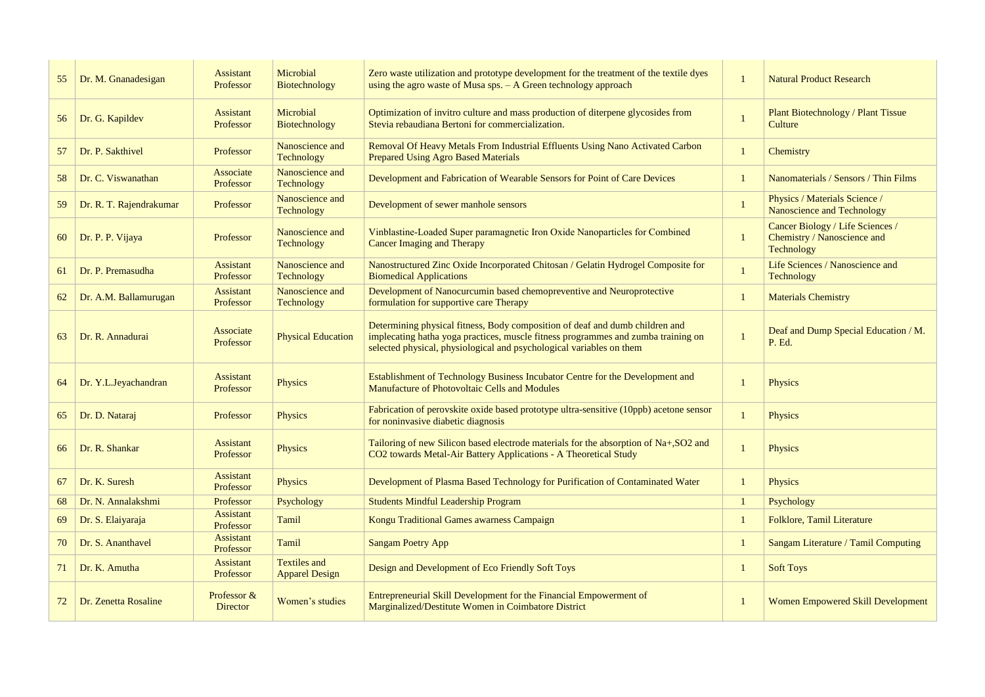| 55 | Dr. M. Gnanadesigan     | <b>Assistant</b><br>Professor  | Microbial<br>Biotechnology                   | Zero waste utilization and prototype development for the treatment of the textile dyes<br>using the agro waste of Musa sps. $-$ A Green technology approach                                                                               | <b>Natural Product Research</b>                                                      |
|----|-------------------------|--------------------------------|----------------------------------------------|-------------------------------------------------------------------------------------------------------------------------------------------------------------------------------------------------------------------------------------------|--------------------------------------------------------------------------------------|
| 56 | Dr. G. Kapildev         | <b>Assistant</b><br>Professor  | Microbial<br>Biotechnology                   | Optimization of invitro culture and mass production of diterpene glycosides from<br>Stevia rebaudiana Bertoni for commercialization.                                                                                                      | <b>Plant Biotechnology / Plant Tissue</b><br>Culture                                 |
| 57 | Dr. P. Sakthivel        | Professor                      | Nanoscience and<br><b>Technology</b>         | Removal Of Heavy Metals From Industrial Effluents Using Nano Activated Carbon<br><b>Prepared Using Agro Based Materials</b>                                                                                                               | Chemistry                                                                            |
| 58 | Dr. C. Viswanathan      | Associate<br>Professor         | Nanoscience and<br>Technology                | Development and Fabrication of Wearable Sensors for Point of Care Devices                                                                                                                                                                 | Nanomaterials / Sensors / Thin Films                                                 |
| 59 | Dr. R. T. Rajendrakumar | Professor                      | Nanoscience and<br><b>Technology</b>         | Development of sewer manhole sensors                                                                                                                                                                                                      | Physics / Materials Science /<br>Nanoscience and Technology                          |
| 60 | Dr. P. P. Vijaya        | Professor                      | Nanoscience and<br><b>Technology</b>         | Vinblastine-Loaded Super paramagnetic Iron Oxide Nanoparticles for Combined<br><b>Cancer Imaging and Therapy</b>                                                                                                                          | Cancer Biology / Life Sciences /<br>Chemistry / Nanoscience and<br><b>Technology</b> |
| 61 | Dr. P. Premasudha       | <b>Assistant</b><br>Professor  | Nanoscience and<br>Technology                | Nanostructured Zinc Oxide Incorporated Chitosan / Gelatin Hydrogel Composite for<br><b>Biomedical Applications</b>                                                                                                                        | Life Sciences / Nanoscience and<br><b>Technology</b>                                 |
| 62 | Dr. A.M. Ballamurugan   | <b>Assistant</b><br>Professor  | Nanoscience and<br>Technology                | Development of Nanocurcumin based chemopreventive and Neuroprotective<br>formulation for supportive care Therapy                                                                                                                          | <b>Materials Chemistry</b>                                                           |
| 63 | Dr. R. Annadurai        | Associate<br>Professor         | <b>Physical Education</b>                    | Determining physical fitness, Body composition of deaf and dumb children and<br>implecating hatha yoga practices, muscle fitness programmes and zumba training on<br>selected physical, physiological and psychological variables on them | Deaf and Dump Special Education / M.<br>P. Ed.                                       |
| 64 | Dr. Y.L.Jeyachandran    | <b>Assistant</b><br>Professor  | <b>Physics</b>                               | Establishment of Technology Business Incubator Centre for the Development and<br><b>Manufacture of Photovoltaic Cells and Modules</b>                                                                                                     | <b>Physics</b>                                                                       |
| 65 | Dr. D. Nataraj          | Professor                      | Physics                                      | Fabrication of perovskite oxide based prototype ultra-sensitive (10ppb) acetone sensor<br>for noninvasive diabetic diagnosis                                                                                                              | <b>Physics</b>                                                                       |
| 66 | Dr. R. Shankar          | <b>Assistant</b><br>Professor  | Physics                                      | Tailoring of new Silicon based electrode materials for the absorption of Na+, SO2 and<br>CO2 towards Metal-Air Battery Applications - A Theoretical Study                                                                                 | <b>Physics</b>                                                                       |
| 67 | Dr. K. Suresh           | <b>Assistant</b><br>Professor  | Physics                                      | Development of Plasma Based Technology for Purification of Contaminated Water                                                                                                                                                             | <b>Physics</b>                                                                       |
| 68 | Dr. N. Annalakshmi      | Professor                      | Psychology                                   | <b>Students Mindful Leadership Program</b>                                                                                                                                                                                                | Psychology                                                                           |
| 69 | Dr. S. Elaiyaraja       | <b>Assistant</b><br>Professor  | Tamil                                        | Kongu Traditional Games awarness Campaign                                                                                                                                                                                                 | Folklore, Tamil Literature                                                           |
| 70 | Dr. S. Ananthavel       | <b>Assistant</b><br>Professor  | Tamil                                        | <b>Sangam Poetry App</b>                                                                                                                                                                                                                  | <b>Sangam Literature / Tamil Computing</b>                                           |
| 71 | Dr. K. Amutha           | <b>Assistant</b><br>Professor  | <b>Textiles and</b><br><b>Apparel Design</b> | Design and Development of Eco Friendly Soft Toys                                                                                                                                                                                          | <b>Soft Toys</b>                                                                     |
| 72 | Dr. Zenetta Rosaline    | Professor &<br><b>Director</b> | Women's studies                              | Entrepreneurial Skill Development for the Financial Empowerment of<br>Marginalized/Destitute Women in Coimbatore District                                                                                                                 | <b>Women Empowered Skill Development</b>                                             |